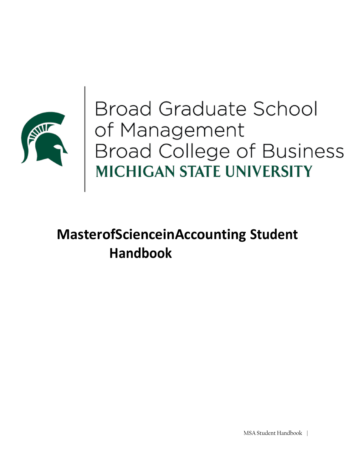

Broad Graduate School<br>of Management<br>Broad College of Business<br>MICHIGAN STATE UNIVERSITY

# **MasterofScienceinAccounting Student Handbook**

MSA Student Handbook |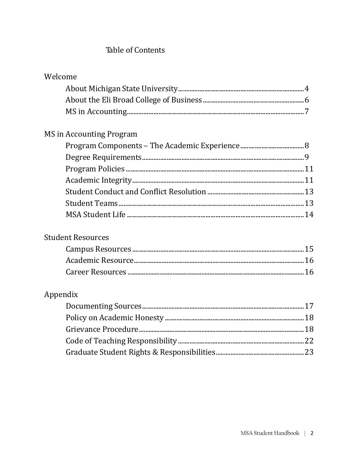# Table of Contents

| Welcome                         |  |
|---------------------------------|--|
|                                 |  |
|                                 |  |
|                                 |  |
| <b>MS</b> in Accounting Program |  |
|                                 |  |
|                                 |  |
|                                 |  |
|                                 |  |
|                                 |  |
|                                 |  |
|                                 |  |
| <b>Student Resources</b>        |  |
|                                 |  |
|                                 |  |
|                                 |  |
| Appendix                        |  |
|                                 |  |
|                                 |  |
|                                 |  |
|                                 |  |
|                                 |  |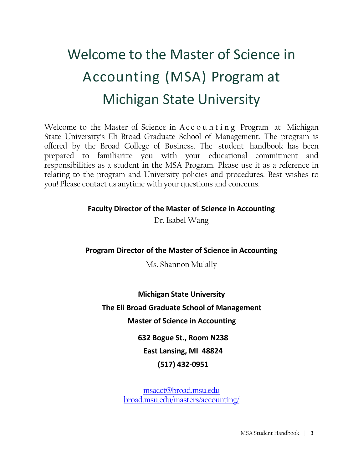# Welcome to the Master of Science in Accounting (MSA) Program at Michigan State University

Welcome to the Master of Science in Accounting Program at Michigan State University's Eli Broad Graduate School of Management. The program is offered by the Broad College of Business. The student handbook has been prepared to familiarize you with your educational commitment and responsibilities as a student in the MSA Program. Please use it as a reference in relating to the program and University policies and procedures. Best wishes to you! Please contact us anytime with your questions and concerns.

# **Faculty Director of the Master of Science in Accounting**

Dr. Isabel Wang

# **Program Director of the Master of Science in Accounting**

Ms. Shannon Mulally

**Michigan State University The Eli Broad Graduate School of Management Master of Science in Accounting**

**632 Bogue St., Room N238 East Lansing, MI 48824 (517) 432‐0951**

msacct@broad.msu.edu broad.msu.edu/masters/accounting/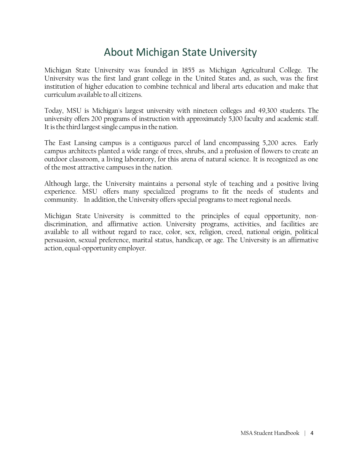# About Michigan State University

Michigan State University was founded in 1855 as Michigan Agricultural College. The University was the first land grant college in the United States and, as such, was the first institution of higher education to combine technical and liberal arts education and make that curriculum available to all citizens.

Today, MSU is Michigan's largest university with nineteen colleges and 49,300 students. The university offers 200 programs of instruction with approximately 5,100 faculty and academic staff. It is the third largest single campus in the nation.

The East Lansing campus is a contiguous parcel of land encompassing 5,200 acres. Early campus architects planted a wide range of trees, shrubs, and a profusion of flowers to create an outdoor classroom, a living laboratory, for this arena of natural science. It is recognized as one of the most attractive campuses in the nation.

Although large, the University maintains a personal style of teaching and a positive living experience. MSU offers many specialized programs to fit the needs of students and community. In addition, the University offers special programs to meet regional needs.

Michigan State University is committed to the principles of equal opportunity, nondiscrimination, and affirmative action. University programs, activities, and facilities are available to all without regard to race, color, sex, religion, creed, national origin, political persuasion, sexual preference, marital status, handicap, or age. The University is an affirmative action, equal-opportunity employer.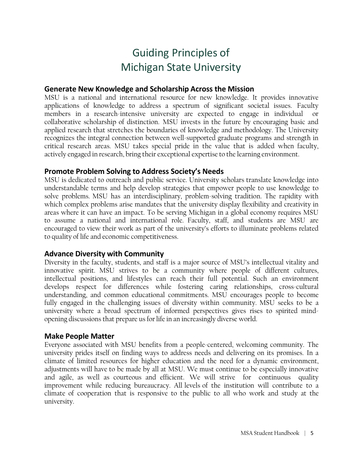# Guiding Principles of Michigan State University

# **Generate New Knowledge and Scholarship Across the Mission**

MSU is a national and international resource for new knowledge. It provides innovative applications of knowledge to address a spectrum of significant societal issues. Faculty members in a research-intensive university are expected to engage in individual or collaborative scholarship of distinction. MSU invests in the future by encouraging basic and applied research that stretches the boundaries of knowledge and methodology. The University recognizes the integral connection between well-supported graduate programs and strength in critical research areas. MSU takes special pride in the value that is added when faculty, actively engaged in research, bring their exceptional expertise to the learning environment.

# **Promote Problem Solving to Address Society's Needs**

MSU is dedicated to outreach and public service. University scholars translate knowledge into understandable terms and help develop strategies that empower people to use knowledge to solve problems. MSU has an interdisciplinary, problem-solving tradition. The rapidity with which complex problems arise mandates that the university display flexibility and creativity in areas where it can have an impact. To be serving Michigan in a global economy requires MSU to assume a national and international role. Faculty, staff, and students are MSU are encouraged to view their work as part of the university's efforts to illuminate problems related to quality of life and economic competitiveness.

# **Advance Diversity with Community**

Diversity in the faculty, students, and staff is a major source of MSU's intellectual vitality and innovative spirit. MSU strives to be a community where people of different cultures, intellectual positions, and lifestyles can reach their full potential. Such an environment develops respect for differences while fostering caring relationships, cross-cultural understanding, and common educational commitments. MSU encourages people to become fully engaged in the challenging issues of diversity within community. MSU seeks to be a university where a broad spectrum of informed perspectives gives rises to spirited mindopening discussions that prepare us for life in an increasingly diverse world.

# **Make People Matter**

Everyone associated with MSU benefits from a people-centered, welcoming community. The university prides itself on finding ways to address needs and delivering on its promises. In a climate of limited resources for higher education and the need for a dynamic environment, adjustments will have to be made by all at MSU. We must continue to be especially innovative and agile, as well as courteous and efficient. We will strive for continuous quality improvement while reducing bureaucracy. All levels of the institution will contribute to a climate of cooperation that is responsive to the public to all who work and study at the university.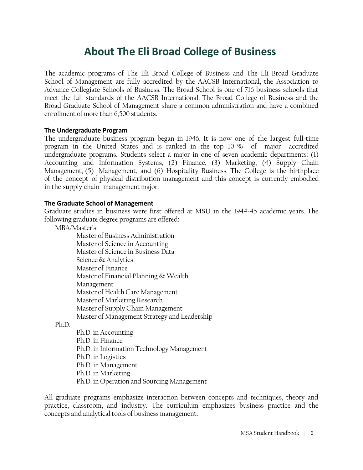# **About The Eli Broad College of Business**

The academic programs of The Eli Broad College of Business and The Eli Broad Graduate School of Management are fully accredited by the AACSB International, the Association to Advance Collegiate Schools of Business. The Broad School is one of 716 business schools that meet the full standards of the AACSB International. The Broad College of Business and the Broad Graduate School of Management share a common administration and have a combined enrollment of more than 6,500 students.

#### **The Undergraduate Program**

The undergraduate business program began in 1946. It is now one of the largest full-time program in the United States and is ranked in the top 10 % of major accredited undergraduate programs. Students select a major in one of seven academic departments: (1) Accounting and Information Systems, (2) Finance, (3) Marketing, (4) Supply Chain Management, (5) Management, and (6) Hospitality Business. The College is the birthplace of the concept of physical distribution management and this concept is currently embodied in the supply chain management major.

#### **The Graduate School of Management**

Graduate studies in business were first offered at MSU in the 1944-45 academic years. The following graduate degree programs are offered:

MBA/Master's:

Master of Business Administration Master of Science in Accounting Master of Science in Business Data Science & Analytics Master of Finance Master of Financial Planning & Wealth Management Master of Health Care Management Master of Marketing Research Master of Supply Chain Management Master of Management Strategy and Leadership

#### Ph.D:

Ph.D. in Accounting Ph.D. in Finance Ph.D. in Information Technology Management Ph.D. in Logistics Ph.D. in Management Ph.D. in Marketing Ph.D. in Operation and Sourcing Management

All graduate programs emphasize interaction between concepts and techniques, theory and practice, classroom, and industry. The curriculum emphasizes business practice and the concepts and analytical tools of business management.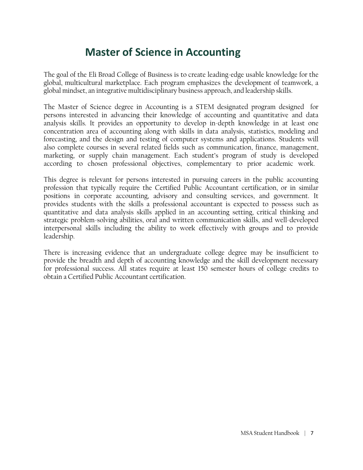# **Master of Science in Accounting**

The goal of the Eli Broad College of Business is to create leading-edge usable knowledge for the global, multicultural marketplace. Each program emphasizes the development of teamwork, a global mindset, an integrative multidisciplinary business approach, and leadership skills.

The Master of Science degree in Accounting is a STEM designated program designed for persons interested in advancing their knowledge of accounting and quantitative and data analysis skills. It provides an opportunity to develop in-depth knowledge in at least one concentration area of accounting along with skills in data analysis, statistics, modeling and forecasting, and the design and testing of computer systems and applications. Students will also complete courses in several related fields such as communication, finance, management, marketing, or supply chain management. Each student's program of study is developed according to chosen professional objectives, complementary to prior academic work.

This degree is relevant for persons interested in pursuing careers in the public accounting profession that typically require the Certified Public Accountant certification, or in similar positions in corporate accounting, advisory and consulting services, and government. It provides students with the skills a professional accountant is expected to possess such as quantitative and data analysis skills applied in an accounting setting, critical thinking and strategic problem-solving abilities, oral and written communication skills, and well-developed interpersonal skills including the ability to work effectively with groups and to provide leadership.

There is increasing evidence that an undergraduate college degree may be insufficient to provide the breadth and depth of accounting knowledge and the skill development necessary for professional success. All states require at least 150 semester hours of college credits to obtain a Certified Public Accountant certification.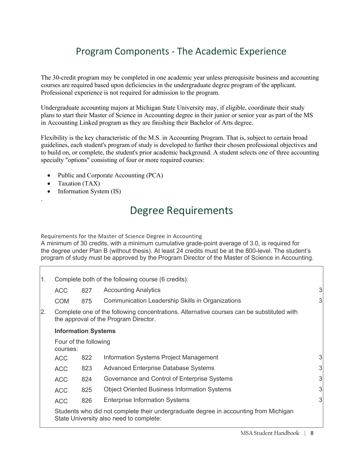# Program Components ‐ The Academic Experience

The 30-credit program may be completed in one academic year unless prerequisite business and accounting courses are required based upon deficiencies in the undergraduate degree program of the applicant. Professional experience is not required for admission to the program.

Undergraduate accounting majors at Michigan State University may, if eligible, coordinate their study plans to start their Master of Science in Accounting degree in their junior or senior year as part of the MS in Accounting Linked program as they are finishing their Bachelor of Arts degree.

Flexibility is the key characteristic of the M.S. in Accounting Program. That is, subject to certain broad guidelines, each student's program of study is developed to further their chosen professional objectives and to build on, or complete, the student's prior academic background. A student selects one of three accounting specialty "options" consisting of four or more required courses:

- Public and Corporate Accounting (PCA)
- Taxation (TAX)

.

Information System (IS)

# Degree Requirements

Requirements for the Master of Science Degree in Accounting

A minimum of 30 credits, with a minimum cumulative grade-point average of 3.0, is required for the degree under Plan B (without thesis). At least 24 credits must be at the 800-level. The student's program of study must be approved by the Program Director of the Master of Science in Accounting.

| 1. | Complete both of the following course (6 credits):                                                                                 |     |                                                     |   |  |  |
|----|------------------------------------------------------------------------------------------------------------------------------------|-----|-----------------------------------------------------|---|--|--|
|    | <b>ACC</b>                                                                                                                         | 827 | <b>Accounting Analytics</b>                         | 3 |  |  |
|    | <b>COM</b>                                                                                                                         | 875 | Communication Leadership Skills in Organizations    | 3 |  |  |
| 2. | Complete one of the following concentrations. Alternative courses can be substituted with<br>the approval of the Program Director. |     |                                                     |   |  |  |
|    | <b>Information Systems</b>                                                                                                         |     |                                                     |   |  |  |
|    | Four of the following<br>courses:                                                                                                  |     |                                                     |   |  |  |
|    | <b>ACC</b>                                                                                                                         | 822 | Information Systems Project Management              | 3 |  |  |
|    | <b>ACC</b>                                                                                                                         | 823 | <b>Advanced Enterprise Database Systems</b>         | 3 |  |  |
|    | <b>ACC</b>                                                                                                                         | 824 | Governance and Control of Enterprise Systems        | 3 |  |  |
|    | <b>ACC</b>                                                                                                                         | 825 | <b>Object Oriented Business Information Systems</b> | 3 |  |  |
|    | <b>ACC</b>                                                                                                                         | 826 | <b>Enterprise Information Systems</b>               | 3 |  |  |
|    | Students who did not complete their undergraduate degree in accounting from Michigan<br>State University also need to complete:    |     |                                                     |   |  |  |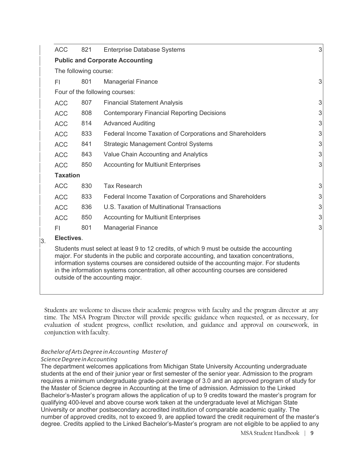| <b>ACC</b>                                                                                                                                                                                                                                                                                                                                                                                                    | 821                                                                                                                                      | <b>Enterprise Database Systems</b>                       | 3 |  |  |  |
|---------------------------------------------------------------------------------------------------------------------------------------------------------------------------------------------------------------------------------------------------------------------------------------------------------------------------------------------------------------------------------------------------------------|------------------------------------------------------------------------------------------------------------------------------------------|----------------------------------------------------------|---|--|--|--|
|                                                                                                                                                                                                                                                                                                                                                                                                               |                                                                                                                                          | <b>Public and Corporate Accounting</b>                   |   |  |  |  |
| The following course:                                                                                                                                                                                                                                                                                                                                                                                         |                                                                                                                                          |                                                          |   |  |  |  |
| FI                                                                                                                                                                                                                                                                                                                                                                                                            | 801                                                                                                                                      | <b>Managerial Finance</b>                                | 3 |  |  |  |
|                                                                                                                                                                                                                                                                                                                                                                                                               | Four of the following courses:<br>807<br><b>Financial Statement Analysis</b><br>808<br><b>Contemporary Financial Reporting Decisions</b> |                                                          |   |  |  |  |
| <b>ACC</b>                                                                                                                                                                                                                                                                                                                                                                                                    |                                                                                                                                          |                                                          | 3 |  |  |  |
| <b>ACC</b>                                                                                                                                                                                                                                                                                                                                                                                                    |                                                                                                                                          |                                                          | 3 |  |  |  |
| <b>ACC</b>                                                                                                                                                                                                                                                                                                                                                                                                    | 814                                                                                                                                      | <b>Advanced Auditing</b>                                 | 3 |  |  |  |
| <b>ACC</b>                                                                                                                                                                                                                                                                                                                                                                                                    | 833                                                                                                                                      | Federal Income Taxation of Corporations and Shareholders | 3 |  |  |  |
| <b>ACC</b>                                                                                                                                                                                                                                                                                                                                                                                                    | 841                                                                                                                                      | <b>Strategic Management Control Systems</b>              | 3 |  |  |  |
| <b>ACC</b>                                                                                                                                                                                                                                                                                                                                                                                                    | 843                                                                                                                                      | Value Chain Accounting and Analytics                     | 3 |  |  |  |
| <b>ACC</b>                                                                                                                                                                                                                                                                                                                                                                                                    | 850                                                                                                                                      | <b>Accounting for Multiunit Enterprises</b>              | 3 |  |  |  |
| <b>Taxation</b>                                                                                                                                                                                                                                                                                                                                                                                               |                                                                                                                                          |                                                          |   |  |  |  |
| <b>ACC</b>                                                                                                                                                                                                                                                                                                                                                                                                    | 830                                                                                                                                      | <b>Tax Research</b>                                      | 3 |  |  |  |
| <b>ACC</b>                                                                                                                                                                                                                                                                                                                                                                                                    | 833                                                                                                                                      | Federal Income Taxation of Corporations and Shareholders | 3 |  |  |  |
| <b>ACC</b>                                                                                                                                                                                                                                                                                                                                                                                                    | 836                                                                                                                                      | U.S. Taxation of Multinational Transactions              | 3 |  |  |  |
| <b>ACC</b>                                                                                                                                                                                                                                                                                                                                                                                                    | 850                                                                                                                                      | <b>Accounting for Multiunit Enterprises</b>              | 3 |  |  |  |
| FI                                                                                                                                                                                                                                                                                                                                                                                                            | 801                                                                                                                                      | <b>Managerial Finance</b>                                | 3 |  |  |  |
| Electives.                                                                                                                                                                                                                                                                                                                                                                                                    |                                                                                                                                          |                                                          |   |  |  |  |
| Students must select at least 9 to 12 credits, of which 9 must be outside the accounting<br>major. For students in the public and corporate accounting, and taxation concentrations,<br>information systems courses are considered outside of the accounting major. For students<br>in the information systems concentration, all other accounting courses are considered<br>outside of the accounting major. |                                                                                                                                          |                                                          |   |  |  |  |

Students are welcome to discuss their academic progress with faculty and the program director at any time. The MSA Program Director will provide specific guidance when requested, or as necessary, for evaluation of student progress, conflict resolution, and guidance and approval on coursework, in conjunction with faculty.

# *BachelorofArtsDegree inAccounting Masterof*

*ScienceDegreeinAccounting*

The department welcomes applications from Michigan State University Accounting undergraduate students at the end of their junior year or first semester of the senior year. Admission to the program requires a minimum undergraduate grade-point average of 3.0 and an approved program of study for the Master of Science degree in Accounting at the time of admission. Admission to the Linked Bachelor's-Master's program allows the application of up to 9 credits toward the master's program for qualifying 400-level and above course work taken at the undergraduate level at Michigan State University or another postsecondary accredited institution of comparable academic quality. The number of approved credits, not to exceed 9, are applied toward the credit requirement of the master's degree. Credits applied to the Linked Bachelor's-Master's program are not eligible to be applied to any

MSA Student Handbook | 9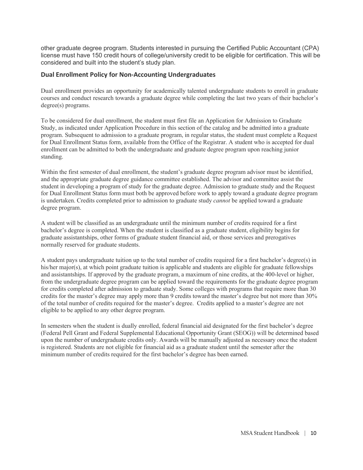other graduate degree program. Students interested in pursuing the Certified Public Accountant (CPA) license must have 150 credit hours of college/university credit to be eligible for certification. This will be considered and built into the student's study plan.

#### **Dual Enrollment Policy for Non‐Accounting Undergraduates**

Dual enrollment provides an opportunity for academically talented undergraduate students to enroll in graduate courses and conduct research towards a graduate degree while completing the last two years of their bachelor's degree(s) programs.

To be considered for dual enrollment, the student must first file an Application for Admission to Graduate Study, as indicated under Application Procedure in this section of the catalog and be admitted into a graduate program. Subsequent to admission to a graduate program, in regular status, the student must complete a Request for Dual Enrollment Status form, available from the Office of the Registrar. A student who is accepted for dual enrollment can be admitted to both the undergraduate and graduate degree program upon reaching junior standing.

Within the first semester of dual enrollment, the student's graduate degree program advisor must be identified, and the appropriate graduate degree guidance committee established. The advisor and committee assist the student in developing a program of study for the graduate degree. Admission to graduate study and the Request for Dual Enrollment Status form must both be approved before work to apply toward a graduate degree program is undertaken. Credits completed prior to admission to graduate study *cannot* be applied toward a graduate degree program.

A student will be classified as an undergraduate until the minimum number of credits required for a first bachelor's degree is completed. When the student is classified as a graduate student, eligibility begins for graduate assistantships, other forms of graduate student financial aid, or those services and prerogatives normally reserved for graduate students.

A student pays undergraduate tuition up to the total number of credits required for a first bachelor's degree(s) in his/her major(s), at which point graduate tuition is applicable and students are eligible for graduate fellowships and assistantships. If approved by the graduate program, a maximum of nine credits, at the 400-level or higher, from the undergraduate degree program can be applied toward the requirements for the graduate degree program for credits completed after admission to graduate study. Some colleges with programs that require more than 30 credits for the master's degree may apply more than 9 credits toward the master's degree but not more than 30% of the total number of credits required for the master's degree. Credits applied to a master's degree are not eligible to be applied to any other degree program.

In semesters when the student is dually enrolled, federal financial aid designated for the first bachelor's degree (Federal Pell Grant and Federal Supplemental Educational Opportunity Grant (SEOG)) will be determined based upon the number of undergraduate credits only. Awards will be manually adjusted as necessary once the student is registered. Students are not eligible for financial aid as a graduate student until the semester after the minimum number of credits required for the first bachelor's degree has been earned.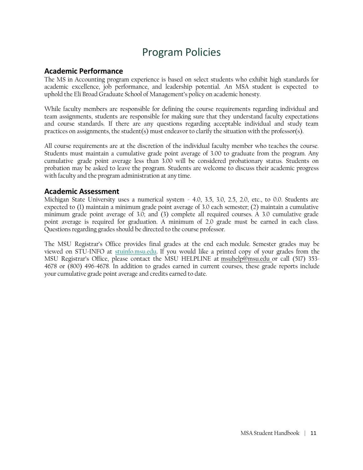# Program Policies

#### **Academic Performance**

The MS in Accounting program experience is based on select students who exhibit high standards for academic excellence, job performance, and leadership potential. An MSA student is expected to uphold the Eli Broad Graduate School of Management's policy on academic honesty.

While faculty members are responsible for defining the course requirements regarding individual and team assignments, students are responsible for making sure that they understand faculty expectations and course standards. If there are any questions regarding acceptable individual and study team practices on assignments, the student(s) must endeavor to clarify the situation with the professor(s).

All course requirements are at the discretion of the individual faculty member who teaches the course. Students must maintain a cumulative grade point average of 3.00 to graduate from the program. Any cumulative grade point average less than 3.00 will be considered probationary status. Students on probation may be asked to leave the program. Students are welcome to discuss their academic progress with faculty and the program administration at any time.

#### **Academic Assessment**

Michigan State University uses a numerical system - 4.0, 3.5, 3.0, 2.5, 2.0, etc., to 0.0. Students are expected to (1) maintain a minimum grade point average of 3.0 each semester; (2) maintain a cumulative minimum grade point average of 3.0; and (3) complete all required courses. A 3.0 cumulative grade point average is required for graduation. A minimum of 2.0 grade must be earned in each class. Questions regarding grades should be directed to the course professor.

The MSU Registrar's Office provides final grades at the end each module. Semester grades may be viewed on STU-INFO at stuinfo.msu.edu. If you would like a printed copy of your grades from the MSU Registrar's Office, please contact the MSU HELPLINE at msuhelp@msu.edu or call (517) 353- 4678 or (800) 496-4678. In addition to grades earned in current courses, these grade reports include your cumulative grade point average and credits earned to date.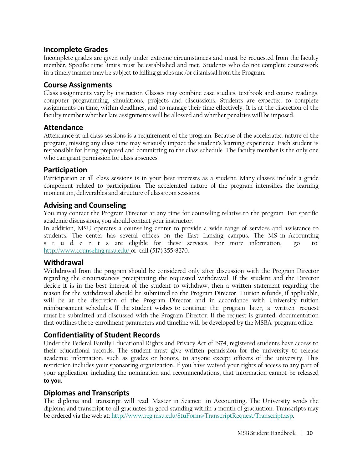### **Incomplete Grades**

Incomplete grades are given only under extreme circumstances and must be requested from the faculty member. Specific time limits must be established and met. Students who do not complete coursework in a timely manner may be subject to failing grades and/or dismissal from the Program.

### **Course Assignments**

Class assignments vary by instructor. Classes may combine case studies, textbook and course readings, computer programming, simulations, projects and discussions. Students are expected to complete assignments on time, within deadlines, and to manage their time effectively. It is at the discretion of the faculty member whether late assignments will be allowed and whether penalties will be imposed.

### **Attendance**

Attendance at all class sessions is a requirement of the program. Because of the accelerated nature of the program, missing any class time may seriously impact the student's learning experience. Each student is responsible for being prepared and committing to the class schedule. The faculty member is the only one who can grant permission for class absences.

# **Participation**

Participation at all class sessions is in your best interests as a student. Many classes include a grade component related to participation. The accelerated nature of the program intensifies the learning momentum, deliverables and structure of classroom sessions.

### **Advising and Counseling**

You may contact the Program Director at any time for counseling relative to the program. For specific academic discussions, you should contact your instructor.

In addition, MSU operates a counseling center to provide a wide range of services and assistance to students. The center has several offices on the East Lansing campus. The MS in Accounting s t u d e n t s are eligible for these services. For more information, go to: http://www.counseling.msu.edu/ or call (517) 355-8270.

### **Withdrawal**

Withdrawal from the program should be considered only after discussion with the Program Director regarding the circumstances precipitating the requested withdrawal. If the student and the Director decide it is in the best interest of the student to withdraw, then a written statement regarding the reason for the withdrawal should be submitted to the Program Director. Tuition refunds, if applicable, will be at the discretion of the Program Director and in accordance with University tuition reimbursement schedules. If the student wishes to continue the program later, a written request must be submitted and discussed with the Program Director. If the request is granted, documentation that outlines the re-enrollment parameters and timeline will be developed by the MSBA program office.

# **Confidentiality of Student Records**

Under the Federal Family Educational Rights and Privacy Act of 1974, registered students have access to their educational records. The student must give written permission for the university to release academic information, such as grades or honors, to anyone except officers of the university. This restriction includes your sponsoring organization. If you have waived your rights of access to any part of your application, including the nomination and recommendations, that information cannot be released **to you.**

### **Diplomas and Transcripts**

The diploma and transcript will read: Master in Science in Accounting. The University sends the diploma and transcript to all graduates in good standing within a month of graduation. Transcripts may be ordered via the web at: http://www.reg.msu.edu/StuForms/TranscriptRequest/Transcript.asp.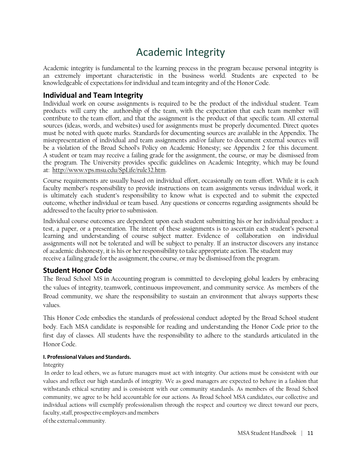# Academic Integrity

Academic integrity is fundamental to the learning process in the program because personal integrity is an extremely important characteristic in the business world. Students are expected to be knowledgeable of expectations for individual and team integrity and of the Honor Code.

#### **Individual and Team Integrity**

Individual work on course assignments is required to be the product of the individual student. Team products will carry the authorship of the team, with the expectation that each team member will contribute to the team effort, and that the assignment is the product of that specific team. All external sources (ideas, words, and websites) used for assignments must be properly documented. Direct quotes must be noted with quote marks. Standards for documenting sources are available in the Appendix. The misrepresentation of individual and team assignments and/or failure to document external sources will be a violation of the Broad School's Policy on Academic Honesty; see Appendix 2 for this document. A student or team may receive a failing grade for the assignment, the course, or may be dismissed from the program. The University provides specific guidelines on Academic Integrity, which may be found at: http://www.vps.msu.edu/SpLife/rule32.htm.

Course requirements are usually based on individual effort, occasionally on team effort. While it is each faculty member's responsibility to provide instructions on team assignments versus individual work, it is ultimately each student's responsibility to know what is expected and to submit the expected outcome, whether individual or team based. Any questions or concerns regarding assignments should be addressed to the faculty prior to submission.

Individual course outcomes are dependent upon each student submitting his or her individual product: a test, a paper, or a presentation. The intent of these assignments is to ascertain each student's personal learning and understanding of course subject matter. Evidence of collaboration on individual assignments will not be tolerated and will be subject to penalty. If an instructor discovers any instance of academic dishonesty, it is his or her responsibility to take appropriate action. The student may receive a failing grade for the assignment, the course, or may be dismissed from the program.

#### **Student Honor Code**

The Broad School MS in Accounting program is committed to developing global leaders by embracing the values of integrity, teamwork, continuous improvement, and community service. As members of the Broad community, we share the responsibility to sustain an environment that always supports these values.

This Honor Code embodies the standards of professional conduct adopted by the Broad School student body. Each MSA candidate is responsible for reading and understanding the Honor Code prior to the first day of classes. All students have the responsibility to adhere to the standards articulated in the Honor Code.

#### **I. ProfessionalValues and Standards.**

Integrity

In order to lead others, we as future managers must act with integrity. Our actions must be consistent with our values and reflect our high standards of integrity. We as good managers are expected to behave in a fashion that withstands ethical scrutiny and is consistent with our community standards. As members of the Broad School community, we agree to be held accountable for our actions. As Broad School MSA candidates, our collective and individual actions will exemplify professionalism through the respect and courtesy we direct toward our peers, faculty, staff, prospective employers and members

of the external community.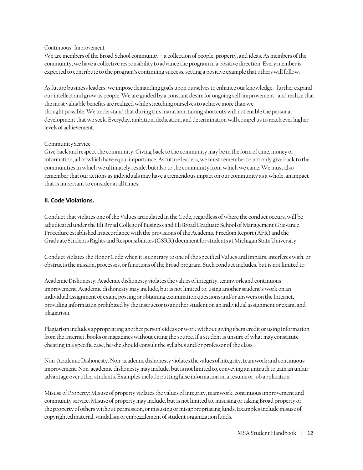#### Continuous Improvement

We are members of the Broad School community – a collection of people, property, and ideas. As members of the community, we have a collective responsibility to advance the program in a positive direction. Every member is expected to contribute to the program's continuing success, setting a positive example that others will follow.

As future business leaders, we impose demanding goals upon ourselves to enhance our knowledge, further expand our intellect and grow as people. We are guided by a constant desire for ongoing self-improvement and realize that the most valuable benefits are realized while stretching ourselves to achieve more than we thought possible. We understand that during this marathon, taking shortcuts will not enable the personal development that we seek. Everyday, ambition, dedication, and determination will compel us to reach ever higher levels of achievement.

#### Community Service

Give back and respect the community. Giving back to the community may be in the form of time, money or information, all of which have equal importance. As future leaders, we must remember to not only give back to the communities in which we ultimately reside, but also to the community from which we came. We must also remember that our actions as individuals may have a tremendous impact on our community as a whole, an impact that is important to consider at all times.

#### **II. Code Violations.**

Conduct that violates one of the Values articulated in the Code, regardless of where the conduct occurs, will be adjudicated under the Eli Broad College of Business and Eli Broad Graduate School of Management Grievance Procedure established in accordance with the provisions of the Academic Freedom Report (AFR) and the Graduate Students Rights and Responsibilities (GSRR) document for students at Michigan State University.

Conduct violates the Honor Code when it is contrary to one of the specified Values and impairs, interferes with, or obstructs the mission, processes, or functions of the Broad program. Such conduct includes, but is not limited to:

Academic Dishonesty: Academic dishonesty violates the values of integrity, teamwork and continuous improvement. Academic dishonesty may include, but is not limited to, using another student's work on an individual assignment or exam, posting or obtaining examination questions and/or answers on the Internet, providing information prohibited by the instructor to another student on an individual assignment or exam, and plagiarism.

Plagiarism includes appropriating another person's ideas or work without giving them credit or using information from the Internet, books or magazines without citing the source. If a student is unsure of what may constitute cheating in a specific case, he/she should consult the syllabus and/or professor of the class.

Non-Academic Dishonesty: Non-academic dishonesty violates the values of integrity, teamwork and continuous improvement. Non-academic dishonesty may include, but is not limited to, conveying an untruth to gain an unfair advantage over other students. Examples include putting false information on a resume or job application.

Misuse of Property: Misuse of property violates the values of integrity, teamwork, continuous improvement and community service. Misuse of property may include, but is not limited to, misusing or taking Broad property or the property of others without permission, or misusing or misappropriating funds. Examples include misuse of copyrighted material, vandalism or embezzlement of student organization funds.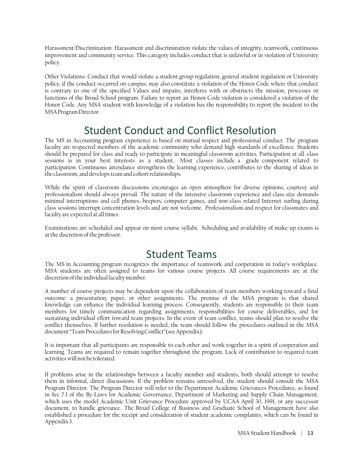Harassment/Discrimination: Harassment and discrimination violate the values of integrity, teamwork, continuous improvement and community service. This category includes conduct that is unlawful or in violation of University policy.

Other Violations: Conduct that would violate a student group regulation, general student regulation or University policy, if the conduct occurred on campus, may also constitute a violation of the Honor Code where that conduct is contrary to one of the specified Values and impairs, interferes with or obstructs the mission, processes or functions of the Broad School program. Failure to report an Honor Code violation is considered a violation of the Honor Code. Any MSA student with knowledge of a violation has the responsibility to report the incident to the MSA Program Director.

# Student Conduct and Conflict Resolution

The MS in Accounting program experience is based on mutual respect and professional conduct. The program faculty are respected members of the academic community who demand high standards of excellence. Students should be prepared for class and ready to participate in meaningful classroom activities. Participation at all class sessions is in your best interests as a student. Most classes include a grade component related to participation. Continuous attendance strengthens the learning experience, contributes to the sharing of ideas in the classroom, and develops team and cohort relationships.

While the spirit of classroom discussions encourages an open atmosphere for diverse opinions, courtesy and professionalism should always prevail. The nature of the intensive classroom experience and class size demands minimal interruptions and cell phones, beepers, computer games, and non-class related Internet surfing during class sessions interrupt concentration levels and are not welcome. Professionalism and respect for classmates and faculty are expected at all times.

Examinations are scheduled and appear on most course syllabi. Scheduling and availability of make-up exams is at the discretion of the professor.

# Student Teams

The MS in Accounting program recognizes the importance of teamwork and cooperation in today's workplace. MSA students are often assigned to teams for various course projects. All course requirements are at the discretion of the individual faculty member.

A number of course projects may be dependent upon the collaboration of team members working toward a final outcome: a presentation, paper, or other assignments. The premise of the MSA program is that shared knowledge can enhance the individual learning process. Consequently, students are responsible to their team members for timely communication regarding assignments, responsibilities for course deliverables, and for sustaining individual effort toward team projects. In the event of team conflict, teams should plan to resolve the conflict themselves. If further resolution is needed, the team should follow the procedures outlined in the MSA document "Team Procedures for Resolving Conflict"(see Appendix).

It is important that all participants are responsible to each other and work together in a spirit of cooperation and learning. Teams are required to remain together throughout the program. Lack of contribution to required team activities will not be tolerated.

If problems arise in the relationships between a faculty member and students, both should attempt to resolve them in informal, direct discussions. If the problem remains unresolved, the student should consult the MSA Program Director. The Program Director will refer to the Department Academic Grievances Procedures, as found in Sec 7.1 of the By-Laws for Academic Governance, Department of Marketing and Supply Chain Management, which uses the model Academic Unit Grievance Procedure approved by UCAA April 30, 1991, or any successor document, to handle grievance. The Broad College of Business and Graduate School of Management have also established a procedure for the receipt and consideration of student academic complaints, which can be found in Appendix 3.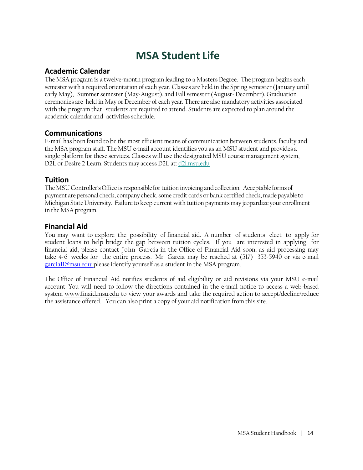# **MSA Student Life**

### **Academic Calendar**

The MSA program is a twelve-month program leading to a Masters Degree. The program begins each semester with a required orientation of each year. Classes are held in the Spring semester (January until early May), Summer semester (May-August), and Fall semester (August- December). Graduation ceremonies are held in May or December of each year. There are also mandatory activities associated with the program that students are required to attend. Students are expected to plan around the academic calendar and activities schedule.

### **Communications**

E-mail has been found to be the most efficient means of communication between students, faculty and the MSA program staff. The MSU e-mail account identifies you as an MSU student and provides a single platform for these services. Classes will use the designated MSU course management system, D2L or Desire 2 Learn. Students may access D2L at: d2l.msu.edu

### **Tuition**

The MSU Controller's Office is responsible for tuition invoicing and collection. Acceptable forms of payment are personal check, company check, some credit cards or bank certified check, made payable to Michigan State University. Failure to keep current with tuition payments may jeopardize your enrollment in the MSA program.

### **Financial Aid**

You may want to explore the possibility of financial aid. A number of students elect to apply for student loans to help bridge the gap between tuition cycles. If you are interested in applying for financial aid, please contact John Garcia in the Office of Financial Aid soon, as aid processing may take 4-6 weeks for the entire process. Mr. Garcia may be reached at (517) 353-5940 or via e-mail garcia11@msu.edu; please identify yourself as a student in the MSA program.

The Office of Financial Aid notifies students of aid eligibility or aid revisions via your MSU e-mail account. You will need to follow the directions contained in the e-mail notice to access a web-based system www.finaid.msu.edu to view your awards and take the required action to accept/decline/reduce the assistance offered. You can also print a copy of your aid notification from this site.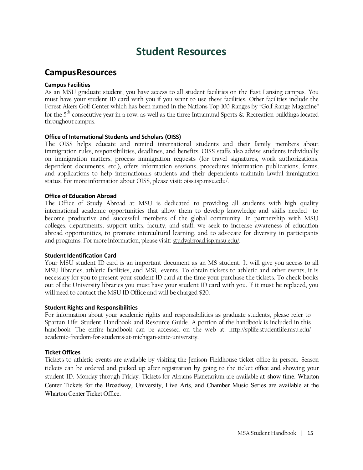# **Student Resources**

# **CampusResources**

#### **Campus Facilities**

As an MSU graduate student, you have access to all student facilities on the East Lansing campus. You must have your student ID card with you if you want to use these facilities. Other facilities include the Forest Akers Golf Center which has been named in the Nations Top 100 Ranges by "Golf Range Magazine" for the  $5<sup>th</sup>$  consecutive year in a row, as well as the three Intramural Sports  $\&$  Recreation buildings located throughout campus.

#### **Office of International Students and Scholars (OISS)**

The OISS helps educate and remind international students and their family members about immigration rules, responsibilities, deadlines, and benefits. OISS staffs also advise students individually on immigration matters, process immigration requests (for travel signatures, work authorizations, dependent documents, etc.), offers information sessions, procedures information publications, forms, and applications to help internationals students and their dependents maintain lawful immigration status. For more information about OISS, please visit: oiss.isp.msu.edu/.

#### **Office of Education Abroad**

The Office of Study Abroad at MSU is dedicated to providing all students with high quality international academic opportunities that allow them to develop knowledge and skills needed to become productive and successful members of the global community. In partnership with MSU colleges, departments, support units, faculty, and staff, we seek to increase awareness of education abroad opportunities, to promote intercultural learning, and to advocate for diversity in participants and programs. For more information, please visit: studyabroad.isp.msu.edu/.

#### **Student Identification Card**

Your MSU student ID card is an important document as an MS student. It will give you access to all MSU libraries, athletic facilities, and MSU events. To obtain tickets to athletic and other events, it is necessary for you to present your student ID card at the time your purchase the tickets. To check books out of the University libraries you must have your student ID card with you. If it must be replaced, you will need to contact the MSU ID Office and will be charged \$20.

#### **Student Rights and Responsibilities**

For information about your academic rights and responsibilities as graduate students, please refer to Spartan Life: Student Handbook and Resource Guide. A portion of the handbook is included in this handbook. The entire handbook can be accessed on the web at: http://splife.studentlife.msu.edu/ academic-freedom-for-students-at-michigan-state-university.

#### **Ticket Offices**

Tickets to athletic events are available by visiting the Jenison Fieldhouse ticket office in person. Season tickets can be ordered and picked up after registration by going to the ticket office and showing your student ID. Monday through Friday. Tickets for Abrams Planetarium are available at show time. Wharton Center Tickets for the Broadway, University, Live Arts, and Chamber Music Series are available at the Wharton Center Ticket Office.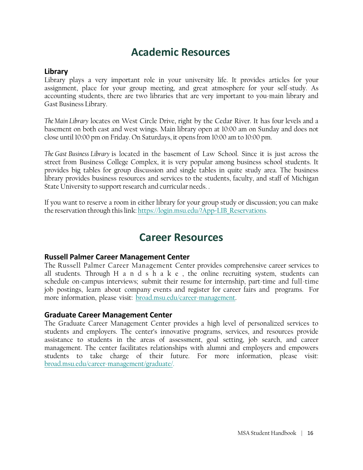# **Academic Resources**

### **Library**

Library plays a very important role in your university life. It provides articles for your assignment, place for your group meeting, and great atmosphere for your self-study. As accounting students, there are two libraries that are very important to you-main library and Gast Business Library.

*The Main Library* locates on West Circle Drive, right by the Cedar River. It has four levels and a basement on both east and west wings. Main library open at 10:00 am on Sunday and does not close until 10:00 pm on Friday. On Saturdays, it opens from 10:00 am to 10:00 pm.

*The Gast Business Library* is located in the basement of Law School. Since it is just across the street from Business College Complex, it is very popular among business school students. It provides big tables for group discussion and single tables in quite study area. The business library provides business resources and services to the students, faculty, and staff of Michigan State University to support research and curricular needs. .

If you want to reserve a room in either library for your group study or discussion; you can make the reservation through this link: https://login.msu.edu/?App=LIB\_Reservations.

# **Career Resources**

### **Russell Palmer Career Management Center**

The Russell Palmer Career Management Center provides comprehensive career services to all students. Through H a n d s h a k e , the online recruiting system, students can schedule on-campus interviews; submit their resume for internship, part-time and full-time job postings, learn about company events and register for career fairs and programs. For more information, please visit: broad.msu.edu/career-management.

### **Graduate Career Management Center**

The Graduate Career Management Center provides a high level of personalized services to students and employers. The center's innovative programs, services, and resources provide assistance to students in the areas of assessment, goal setting, job search, and career management. The center facilitates relationships with alumni and employers and empowers students to take charge of their future. For more information, please visit: broad.msu.edu/career-management/graduate/.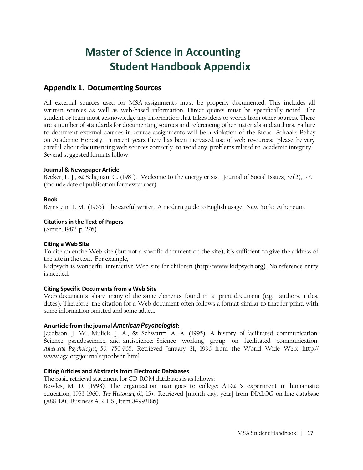# **Master of Science in Accounting Student Handbook Appendix**

# **Appendix 1. Documenting Sources**

All external sources used for MSA assignments must be properly documented. This includes all written sources as well as web-based information. Direct quotes must be specifically noted. The student or team must acknowledge any information that takes ideas or words from other sources. There are a number of standards for documenting sources and referencing other materials and authors. Failure to document external sources in course assignments will be a violation of the Broad School's Policy on Academic Honesty. In recent years there has been increased use of web resources; please be very careful about documenting web sources correctly to avoid any problems related to academic integrity. Several suggested formats follow:

#### **Journal & Newspaper Article**

Becker, L. J., & Seligman, C. (1981). Welcome to the energy crisis. Journal of Social Issues, 37(2), 1-7. (include date of publication for newspaper)

#### **Book**

Bernstein, T. M. (1965). The careful writer: A modern guide to English usage. New York: Atheneum.

#### **Citations in the Text of Papers**

(Smith, 1982, p. 276)

#### **Citing a Web Site**

To cite an entire Web site (but not a specific document on the site), it's sufficient to give the address of the site in the text. For example,

Kidpsych is wonderful interactive Web site for children (http://www.kidpsych.org). No reference entry is needed.

#### **Citing Specific Documents from a Web Site**

Web documents share many of the same elements found in a print document (e.g., authors, titles, dates). Therefore, the citation for a Web document often follows a format similar to that for print, with some information omitted and some added.

#### **Anarticle fromthe journal***American Psychologist***:**

Jacobson, J. W., Mulick, J. A., & Schwartz, A. A. (1995). A history of facilitated communication: Science, pseudoscience, and antiscience: Science working group on facilitated communication. *American Psychologist, 50*, 750-765. Retrieved January 31, 1996 from the World Wide Web: http:// www.aga.org/journals/jacobson.html

#### **Citing Articles and Abstracts from Electronic Databases**

The basic retrieval statement for CD-ROM databases is as follows:

Bowles, M. D. (1998). The organization man goes to college: AT&T's experiment in humanistic education, 1953-1960. *The Historian, 61*, 15+. Retrieved [month day, year] from DIALOG on-line database (#88, IAC Business A.R.T.S., Item 04993186)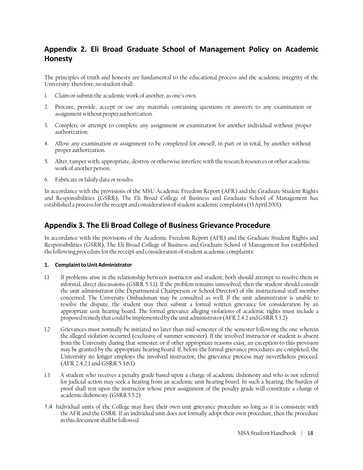# **Appendix 2. Eli Broad Graduate School of Management Policy on Academic Honesty**

The principles of truth and honesty are fundamental to the educational process and the academic integrity of the University: therefore, no student shall:

- 1. Claim or submit the academic work of another, as one's own.
- 2. Procure, provide, accept or use any materials containing questions or answers to any examination or assignment without proper authorization.
- 3. Complete or attempt to complete any assignment or examination for another individual without proper authorization.
- 4. Allow any examination or assignment to be completed for oneself, in part or in total, by another without proper authorization.
- 5. Alter, tamper with, appropriate, destroy or otherwise interfere with the research resources or other academic work of another person.
- 6. Fabricate or falsify data or results.

In accordance with the provisions of the MSU Academic Freedom Report (AFR) and the Graduate Student Rights and Responsibilities (GSRR), The Eli Broad College of Business and Graduate School of Management has established a process for the receipt and consideration of student academic complaints (13 April 2001).

### **Appendix 3. The Eli Broad College of Business Grievance Procedure**

In accordance with the provisions of the Academic Freedom Report (AFR) and the Graduate Student Rights and Responsibilities (GSRR), The Eli Broad College of Business and Graduate School of Management has established the following procedure for the receipt and consideration of student academic complaints:

#### 1. **Complaint to Unit Administrator**

- 1.1 If problems arise in the relationship between instructor and student, both should attempt to resolve them in informal, direct discussions (GSRR 5.3.1). If the problem remains unresolved, then the student should consult the unit administrator (the Departmental Chairperson or School Director) of the instructional staff member concerned. The University Ombudsman may be consulted as well. If the unit administrator is unable to resolve the dispute, the student may then submit a formal written grievance for consideration by an appropriate unit hearing board. The formal grievance alleging violations of academic rights must include a proposed remedy that could be implemented by the unit administrator (AFR 2.4.2 and GSRR 5.3.2)
- 1.2 Grievances must normally be initiated no later than mid-semester of the semester following the one wherein the alleged violation occurred (exclusive of summer semester). If the involved instructor or student is absent from the University during that semester, or if other appropriate reasons exist, an exception to this provision may be granted by the appropriate hearing board. If, before the formal grievance procedures are completed, the University no longer employs the involved instructor, the grievance process may nevertheless proceed. (AFR 2.4.2.1 and GSRR 5.3.6.1)
- 1.3 A student who receives a penalty grade based upon a charge of academic dishonesty and who is not referred for judicial action may seek a hearing from an academic unit hearing board. In such a hearing, the burden of proof shall rest upon the instructor whose prior assignment of the penalty grade will constitute a charge of academic dishonesty. (GSRR 5.5.2)
- 1.4 Individual units of the College may have their own unit grievance procedure so long as it is consistent with the AFR and the GSRR. If an individual unit does not formally adopt their own procedure, then the procedure in this document shall be followed.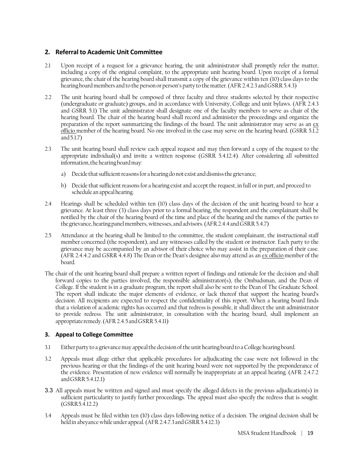#### **2. Referral to Academic Unit Committee**

- 2.1 Upon receipt of a request for a grievance hearing, the unit administrator shall promptly refer the matter, including a copy of the original complaint, to the appropriate unit hearing board. Upon receipt of a formal grievance, the chair of the hearing board shall transmit a copy of the grievance within ten (10) class days to the hearing board members and to the person or person's party to the matter. (AFR 2.4.2.3 and GSRR 5.4.3)
- 2.2 The unit hearing board shall be composed of three faculty and three students selected by their respective (undergraduate or graduate) groups, and in accordance with University, College and unit bylaws. (AFR 2.4.3 and GSRR 5.1) The unit administrator shall designate one of the faculty members to serve as chair of the hearing board. The chair of the hearing board shall record and administer the proceedings and organize the preparation of the report summarizing the findings of the board. The unit administrator may serve as an ex officio member of the hearing board. No one involved in the case may serve on the hearing board. (GSRR 5.1.2 and 5.1.7)
- 2.3 The unit hearing board shall review each appeal request and may then forward a copy of the request to the appropriate individual(s) and invite a written response (GSRR 5.4.12.4). After considering all submitted information, the hearing board may:
	- a) Decide that sufficient reasons for a hearing do not exist and dismiss the grievance;
	- b) Decide that sufficient reasons for a hearing exist and accept the request, in full or in part, and proceed to schedule an appeal hearing.
- 2.4 Hearings shall be scheduled within ten (10) class days of the decision of the unit hearing board to hear a grievance. At least three (3) class days prior to a formal hearing, the respondent and the complainant shall be notified by the chair of the hearing board of the time and place of the hearing and the names of the parties to the grievance, hearing panel members, witnesses, and advisors. (AFR 2.4.4 and GSRR 5.4.7)
- 2.5 Attendance at the hearing shall be limited to the committee, the student complainant, the instructional staff member concerned (the respondent), and any witnesses called by the student or instructor. Each party to the grievance may be accompanied by an advisor of their choice who may assist in the preparation of their case. (AFR 2.4.4.2 and GSRR 4.4.8) The Dean or the Dean's designee also may attend as an ex officio member of the board.
- The chair of the unit hearing board shall prepare a written report of findings and rationale for the decision and shall forward copies to the parties involved, the responsible administrator(s), the Ombudsman, and the Dean of College. If the student is in a graduate program, the report shall also be sent to the Dean of The Graduate School. The report shall indicate the major elements of evidence, or lack thereof that support the hearing board's decision. All recipients are expected to respect the confidentiality of this report. When a hearing board finds that a violation of academic rights has occurred and that redress is possible, it shall direct the unit administrator to provide redress. The unit administrator, in consultation with the hearing board, shall implement an appropriate remedy. (AFR 2.4.5 and GSRR 5.4.11)

#### **3. Appeal to College Committee**

- 3.1 Either party to a grievance may appeal the decision of the unit hearing board to a College hearing board.
- 3.2 Appeals must allege either that applicable procedures for adjudicating the case were not followed in the previous hearing or that the findings of the unit hearing board were not supported by the preponderance of the evidence. Presentation of new evidence will normally be inappropriate at an appeal hearing. (AFR 2.4.7.2 and GSRR 5.4.12.1)
- 3.3 All appeals must be written and signed and must specify the alleged defects in the previous adjudication(s) in sufficient particularity to justify further proceedings. The appeal must also specify the redress that is sought.  $(GSRR 5.4.12.2)$
- 3.4 Appeals must be filed within ten (10) class days following notice of a decision. The original decision shall be held in abeyance while under appeal. (AFR 2.4.7.3 and GSRR 5.4.12.3)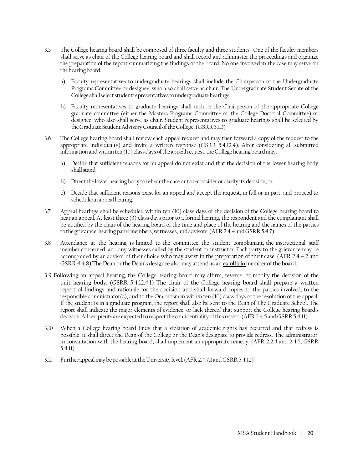- 3.5 The College hearing board shall be composed of three faculty and three students. One of the faculty members shall serve as chair of the College hearing board and shall record and administer the proceedings and organize the preparation of the report summarizing the findings of the board. No one involved in the case may serve on the hearing board.
	- a) Faculty representatives to undergraduate hearings shall include the Chairperson of the Undergraduate Programs Committee or designee, who also shall serve as chair. The Undergraduate Student Senate of the College shall select student representatives to undergraduate hearings.
	- b) Faculty representatives to graduate hearings shall include the Chairperson of the appropriate College graduate committee (either the Masters Programs Committee or the College Doctoral Committee) or designee, who also shall serve as chair. Student representatives to graduate hearings shall be selected by the Graduate Student Advisory Council of the College. (GSRR 5.1.3)
- 3.6 The College hearing board shall review each appeal request and may then forward a copy of the request to the appropriate individual(s) and invite a written response (GSRR 5.4.12.4). After considering all submitted information and within ten (10) class days of the appeal request, the College hearing board may:
	- a) Decide that sufficient reasons for an appeal do not exist and that the decision of the lower hearing body shall stand;
	- b) Direct the lower hearing body to rehear the case or to reconsider or clarify its decision; or
	- c) Decide that sufficient reasons exist for an appeal and accept the request, in full or in part, and proceed to schedule an appeal hearing.
- 3.7 Appeal hearings shall be scheduled within ten (10) class days of the decision of the College hearing board to hear an appeal. At least three (3) class days prior to a formal hearing, the respondent and the complainant shall be notified by the chair of the hearing board of the time and place of the hearing and the names of the parties to the grievance, hearing panel members, witnesses, and advisors. (AFR 2.4.4 and GSRR 5.4.7)
- 3.8 Attendance at the hearing is limited to the committee, the student complainant, the instructional staff member concerned, and any witnesses called by the student or instructor. Each party to the grievance may be accompanied by an advisor of their choice who may assist in the preparation of their case. (AFR 2.4.4.2 and GSRR 4.4.8) The Dean or the Dean's designee also may attend as an ex officio member of the board.
- 3.9 Following an appeal hearing, the College hearing board may affirm, reverse, or modify the decision of the unit hearing body. (GSRR 5.4.12.4.1) The chair of the College hearing board shall prepare a written report of findings and rationale for the decision and shall forward copies to the parties involved, to the responsible administrator(s), and to the Ombudsman within ten (10) class days of the resolution of the appeal. If the student is in a graduate program, the report shall also be sent to the Dean of The Graduate School. The report shall indicate the major elements of evidence, or lack thereof that support the College hearing board's decision. All recipients are expected to respect the confidentiality of this report. (AFR 2.4.5 and GSRR 5.4.11)
- 3.10 When a College hearing board finds that a violation of academic rights has occurred and that redress is possible, it shall direct the Dean of the College or the Dean's designate to provide redress. The administrator, in consultation with the hearing board, shall implement an appropriate remedy. (AFR 2.2.4 and 2.4.5; GSRR 5.4.11).
- 3.11 Further appeal may be possible at the University level. (AFR 2.4.7.1 and GSRR 5.4.12)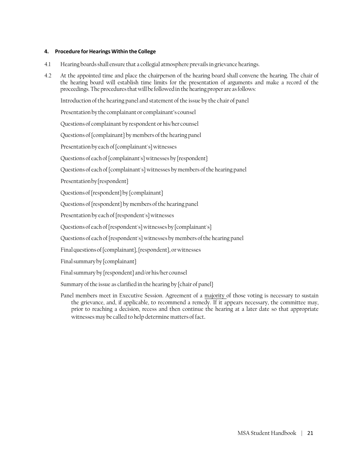#### **4. Procedure forHearings Within the College**

- 4.1 Hearing boards shall ensure that a collegial atmosphere prevails in grievance hearings.
- 4.2 At the appointed time and place the chairperson of the hearing board shall convene the hearing. The chair of the hearing board will establish time limits for the presentation of arguments and make a record of the proceedings. The procedures that will be followed in the hearing proper are as follows:

Introduction of the hearing panel and statement of the issue by the chair of panel

Presentation by the complainant or complainant's counsel

Questions of complainant by respondent or his/her counsel

Questions of {complainant} by members of the hearing panel

Presentation by each of {complainant's} witnesses

Questions of each of {complainant's} witnesses by {respondent}

Questions of each of {complainant's} witnesses by members of the hearing panel

Presentation by {respondent}

Questions of {respondent} by {complainant}

Questions of {respondent} by members of the hearing panel

Presentation by each of {respondent's} witnesses

Questions of each of {respondent's} witnesses by {complainant's}

Questions of each of {respondent's} witnesses by members of the hearing panel

Final questions of {complainant}, {respondent}, or witnesses

Final summary by {complainant}

Final summary by {respondent} and/or his/her counsel

Summary of the issue as clarified in the hearing by {chair of panel}

Panel members meet in Executive Session. Agreement of a majority of those voting is necessary to sustain the grievance, and, if applicable, to recommend a remedy. If it appears necessary, the committee may, prior to reaching a decision, recess and then continue the hearing at a later date so that appropriate witnesses may be called to help determine matters of fact.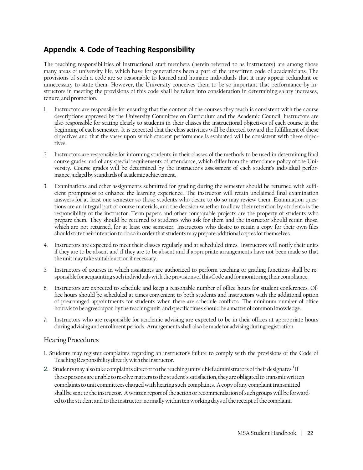# **Appendix 4**. **Code of Teaching Responsibility**

The teaching responsibilities of instructional staff members (herein referred to as instructors) are among those many areas of university life, which have for generations been a part of the unwritten code of academicians. The provisions of such a code are so reasonable to learned and humane individuals that it may appear redundant or unnecessary to state them. However, the University conceives them to be so important that performance by instructors in meeting the provisions of this code shall be taken into consideration in determining salary increases, tenure, and promotion.

- 1. Instructors are responsible for ensuring that the content of the courses they teach is consistent with the course descriptions approved by the University Committee on Curriculum and the Academic Council. Instructors are also responsible for stating clearly to students in their classes the instructional objectives of each course at the beginning of each semester. It is expected that the class activities will be directed toward the fulfillment of these objectives and that the vases upon which student performance is evaluated will be consistent with these objectives.
- 2. Instructors are responsible for informing students in their classes of the methods to be used in determining final course grades and of any special requirements of attendance, which differ from the attendance policy of the University. Course grades will be determined by the instructor's assessment of each student's individual performance, judged by standards of academic achievement.
- 3. Examinations and other assignments submitted for grading during the semester should be returned with sufficient promptness to enhance the learning experience. The instructor will retain unclaimed final examination answers for at least one semester so those students who desire to do so may review them. Examination questions are an integral part of course materials, and the decision whether to allow their retention by students is the responsibility of the instructor. Term papers and other comparable projects are the property of students who prepare them. They should be returned to students who ask for them and the instructor should retain those, which are not returned, for at least one semester. Instructors who desire to retain a copy for their own files should state their intention to do so in order that students may prepare additional copies for themselves.
- 4. Instructors are expected to meet their classes regularly and at scheduled times. Instructors will notify their units if they are to be absent and if they are to be absent and if appropriate arrangements have not been made so that the unit may take suitable action if necessary.
- 5. Instructors of courses in which assistants are authorized to perform teaching or grading functions shall be responsible for acquainting such individuals with the provisions of this Code and for monitoring their compliance.
- 6. Instructors are expected to schedule and keep a reasonable number of office hours for student conferences. Office hours should be scheduled at times convenient to both students and instructors with the additional option of prearranged appointments for students when there are schedule conflicts. The minimum number of office hours is to be agreed upon by the teaching unit, and specific times should be a matter of common knowledge.
- 7. Instructors who are responsible for academic advising are expected to be in their offices at appropriate hours during advising and enrollment periods. Arrangements shall also be made for advising during registration.

#### Hearing Procedures

- 1. Students may register complaints regarding an instructor's failure to comply with the provisions of the Code of Teaching Responsibility directly with the instructor.
- 2. Students may also take complaints director to the teaching units' chief administrators of their designates.<sup>1</sup> If those persons are unable to resolve matters to the student's satisfaction, they are obligated to transmit written complaints to unit committees charged with hearing such complaints. A copy of any complaint transmitted shall be sent to the instructor. A written report of the action or recommendation of such groups will be forwarded to the student and to the instructor, normally within ten working days of the receipt of the complaint.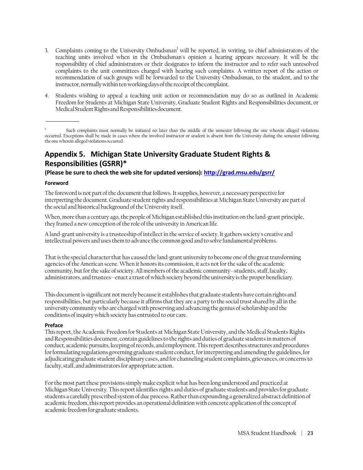- 3. Complaints coming to the University Ombudsman<sup>1</sup> will be reported, in writing, to chief administrators of the teaching units involved when in the Ombudsman's opinion a hearing appears necessary. It will be the responsibility of chief administrators or their designates to inform the instructor and to refer such unresolved complaints to the unit committees charged with hearing such complaints. A written report of the action or recommendation of such groups will be forwarded to the University Ombudsman, to the student, and to the instructor, normally within ten working days of the receipt of the complaint.
- 4. Students wishing to appeal a teaching unit action or recommendation may do so as outlined in Academic Freedom for Students at Michigan State University, Graduate Student Rights and Responsibilities document, or Medical Student Rights and Responsibilities document.

Such complaints must normally be initiated no later than the middle of the semester following the one wherein alleged violations occurred. Exceptions shall be made in cases where the involved instructor or student is absent from the University during the semester following the one wherein alleged violations occurred.

# **Appendix 5. Michigan State University Graduate Student Rights & Responsibilities (GSRR)\***

**(Please be sure to check the web site for updated versions): http://grad.msu.edu/gsrr/**

#### **Foreword**

The foreword is not part of the document that follows. It supplies, however, a necessary perspective for interpreting the document. Graduate student rights and responsibilities at Michigan State University are part of the social and historical background of the University itself.

When, more than a century ago, the people of Michigan established this institution on the land-grant principle, they framed a new conception of the role of the university in American life.

A land-grant university is a trusteeship of intellect in the service of society. It gathers society's creative and intellectual powers and uses them to advance the common good and to solve fundamental problems.

That is the special character that has caused the land-grant university to become one of the great transforming agencies of the American scene. When it honors its commission, it acts not for the sake of the academic community, but for the sake of society. All members of the academic community--students, staff, faculty, administrators, and trustees--enact a trust of which society beyond the university is the proper beneficiary.

This document is significant not merely because it establishes that graduate students have certain rights and responsibilities, but particularly because it affirms that they are a party to the social trust shared by all in the university community who are charged with preserving and advancing the genius of scholarship and the conditions of inquiry which society has entrusted to our care.

#### **Preface**

This report, the Academic Freedom for Students at Michigan State University, and the Medical Students Rights and Responsibilities document, contain guidelines to the rights and duties of graduate students in matters of conduct, academic pursuits, keeping of records, and employment. This report describes structures and procedures for formulating regulations governing graduate student conduct, for interpreting and amending the guidelines, for adjudicating graduate student disciplinary cases, and for channeling student complaints, grievances, or concerns to faculty, staff, and administrators for appropriate action.

For the most part these provisions simply make explicit what has been long understood and practiced at Michigan State University. This report identifies rights and duties of graduate students and provides for graduate students a carefully prescribed system of due process. Rather than expounding a generalized abstract definition of academic freedom, this report provides an operational definition with concrete application of the concept of academic freedom for graduate students.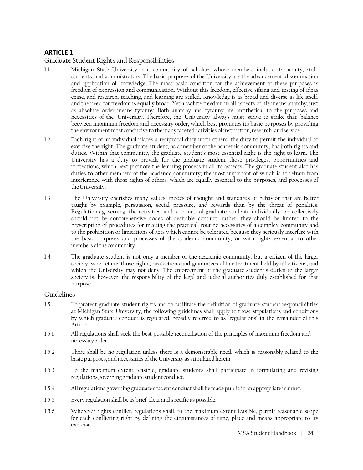#### **ARTICLE 1**

Graduate Student Rights and Responsibilities

- 1.1 Michigan State University is a community of scholars whose members include its faculty, staff, students, and administrators. The basic purposes of the University are the advancement, dissemination and application of knowledge. The most basic condition for the achievement of these purposes is freedom of expression and communication. Without this freedom, effective sifting and testing of ideas cease, and research, teaching, and learning are stifled. Knowledge is as broad and diverse as life itself, and the need for freedom is equally broad. Yet absolute freedom in all aspects of life means anarchy, just as absolute order means tyranny. Both anarchy and tyranny are antithetical to the purposes and necessities of the University. Therefore, the University always must strive to strike that balance between maximum freedom and necessary order, which best promotes its basic purposes by providing the environment most conducive to the many faceted activities of instruction, research, and service.
- 1.2 Each right of an individual places a reciprocal duty upon others: the duty to permit the individual to exercise the right. The graduate student, as a member of the academic community, has both rights and duties. Within that community, the graduate student's most essential right is the right to learn. The University has a duty to provide for the graduate student those privileges, opportunities and protections, which best promote the learning process in all its aspects. The graduate student also has duties to other members of the academic community; the most important of which is to refrain from interference with those rights of others, which are equally essential to the purposes, and processes of the University.
- 1.3 The University cherishes many values, modes of thought and standards of behavior that are better taught by example, persuasion, social pressure, and rewards than by the threat of penalties. Regulations governing the activities and conduct of graduate students individually or collectively should not be comprehensive codes of desirable conduct; rather, they should be limited to the prescription of procedures for meeting the practical, routine necessities of a complex community and to the prohibition or limitations of acts which cannot be tolerated because they seriously interfere with the basic purposes and processes of the academic community, or with rights essential to other members of the community.
- 1.4 The graduate student is not only a member of the academic community, but a citizen of the larger society, who retains those rights, protections and guarantees of fair treatment held by all citizens, and which the University may not deny. The enforcement of the graduate student's duties to the larger society is, however, the responsibility of the legal and judicial authorities duly established for that purpose.

#### Guidelines

- 1.5 To protect graduate student rights and to facilitate the definition of graduate student responsibilities at Michigan State University, the following guidelines shall apply to those stipulations and conditions by which graduate conduct is regulated, broadly referred to as "regulations" in the remainder of this Article.
- 1.5.1 All regulations shall seek the best possible reconciliation of the principles of maximum freedom and necessary order.
- 1.5.2 There shall be no regulation unless there is a demonstrable need, which is reasonably related to the basic purposes, and necessities of the University as stipulated herein.
- 1.5.3 To the maximum extent feasible, graduate students shall participate in formulating and revising regulations governing graduate student conduct.
- 1.5.4 All regulations governing graduate student conduct shall be made public in an appropriate manner.
- 1.5.5 Every regulation shall be as brief, clear and specific as possible.
- 1.5.6 Wherever rights conflict, regulations shall, to the maximum extent feasible, permit reasonable scope for each conflicting right by defining the circumstances of time, place and means appropriate to its exercise.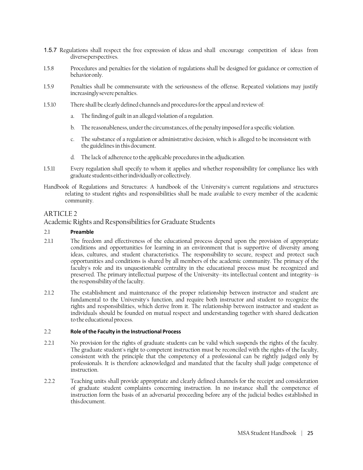- 1.5.7 Regulations shall respect the free expression of ideas and shall encourage competition of ideas from diverse perspectives.
- 1.5.8 Procedures and penalties for the violation of regulations shall be designed for guidance or correction of behavior only.
- 1.5.9 Penalties shall be commensurate with the seriousness of the offense. Repeated violations may justify increasingly severe penalties.
- 1.5.10 There shall be clearly defined channels and procedures for the appeal and review of:
	- a. The finding of guilt in an alleged violation of a regulation.
	- b. The reasonableness, under the circumstances, of the penalty imposed for a specific violation.
	- c. The substance of a regulation or administrative decision, which is alleged to be inconsistent with the guidelines in this document.
	- d. The lack of adherence to the applicable procedures in the adjudication.
- 1.5.11 Every regulation shall specify to whom it applies and whether responsibility for compliance lies with graduate students either individually or collectively.
- Handbook of Regulations and Structures: A handbook of the University's current regulations and structures relating to student rights and responsibilities shall be made available to every member of the academic community.

#### ARTICLE 2

#### Academic Rights and Responsibilities for Graduate Students

#### 2.1 **Preamble**

- 2.1.1 The freedom and effectiveness of the educational process depend upon the provision of appropriate conditions and opportunities for learning in an environment that is supportive of diversity among ideas, cultures, and student characteristics. The responsibility to secure, respect and protect such opportunities and conditions is shared by all members of the academic community. The primacy of the faculty's role and its unquestionable centrality in the educational process must be recognized and preserved. The primary intellectual purpose of the University--its intellectual content and integrity--is the responsibility of the faculty.
- 2.1.2 The establishment and maintenance of the proper relationship between instructor and student are fundamental to the University's function, and require both instructor and student to recognize the rights and responsibilities, which derive from it. The relationship between instructor and student as individuals should be founded on mutual respect and understanding together with shared dedication to the educational process.

#### 2.2 **Role ofthe Faculty in the Instructional Process**

- 2.2.1 No provision for the rights of graduate students can be valid which suspends the rights of the faculty. The graduate student's right to competent instruction must be reconciled with the rights of the faculty, consistent with the principle that the competency of a professional can be rightly judged only by professionals. It is therefore acknowledged and mandated that the faculty shall judge competence of instruction.
- 2.2.2 Teaching units shall provide appropriate and clearly defined channels for the receipt and consideration of graduate student complaints concerning instruction. In no instance shall the competence of instruction form the basis of an adversarial proceeding before any of the judicial bodies established in this document.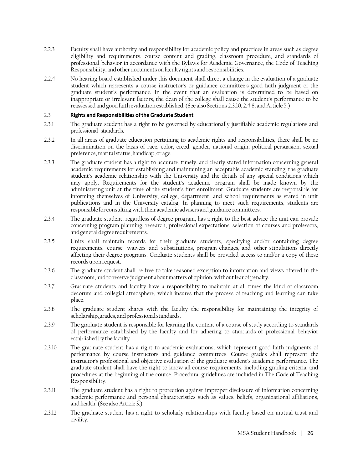- 2.2.3 Faculty shall have authority and responsibility for academic policy and practices in areas such as degree eligibility and requirements, course content and grading, classroom procedure, and standards of professional behavior in accordance with the Bylaws for Academic Governance, the Code of Teaching Responsibility, and other documents on faculty rights and responsibilities.
- 2.2.4 No hearing board established under this document shall direct a change in the evaluation of a graduate student which represents a course instructor's or guidance committee's good faith judgment of the graduate student's performance. In the event that an evaluation is determined to be based on inappropriate or irrelevant factors, the dean of the college shall cause the student's performance to be reassessed and good faith evaluation established. (See also Sections 2.3.10, 2.4.8, and Article 5.)

#### 2.3 **Rights and Responsibilities oftheGraduate Student**

- 2.3.1 The graduate student has a right to be governed by educationally justifiable academic regulations and professional standards.
- 2.3.2 In all areas of graduate education pertaining to academic rights and responsibilities, there shall be no discrimination on the basis of race, color, creed, gender, national origin, political persuasion, sexual preference, marital status, handicap, or age.
- 2.3.3 The graduate student has a right to accurate, timely, and clearly stated information concerning general academic requirements for establishing and maintaining an acceptable academic standing, the graduate student's academic relationship with the University and the details of any special conditions which may apply. Requirements for the student's academic program shall be made known by the administering unit at the time of the student's first enrollment. Graduate students are responsible for informing themselves of University, college, department, and school requirements as stated in unit publications and in the University catalog. In planning to meet such requirements, students are responsible for consulting with their academic advisers and guidance committees.
- 2.3.4 The graduate student, regardless of degree program, has a right to the best advice the unit can provide concerning program planning, research, professional expectations, selection of courses and professors, and general degree requirements.
- 2.3.5 Units shall maintain records for their graduate students, specifying and/or containing degree requirements, course waivers and substitutions, program changes, and other stipulations directly affecting their degree programs. Graduate students shall be provided access to and/or a copy of these records upon request.
- 2.3.6 The graduate student shall be free to take reasoned exception to information and views offered in the classroom, and to reserve judgment about matters of opinion, without fear of penalty.
- 2.3.7 Graduate students and faculty have a responsibility to maintain at all times the kind of classroom decorum and collegial atmosphere, which insures that the process of teaching and learning can take place.
- 2.3.8 The graduate student shares with the faculty the responsibility for maintaining the integrity of scholarship, grades, and professional standards.
- 2.3.9 The graduate student is responsible for learning the content of a course of study according to standards of performance established by the faculty and for adhering to standards of professional behavior established by the faculty.
- 2.3.10 The graduate student has a right to academic evaluations, which represent good faith judgments of performance by course instructors and guidance committees. Course grades shall represent the instructor's professional and objective evaluation of the graduate student's academic performance. The graduate student shall have the right to know all course requirements, including grading criteria, and procedures at the beginning of the course. Procedural guidelines are included in The Code of Teaching Responsibility.
- 2.3.11 The graduate student has a right to protection against improper disclosure of information concerning academic performance and personal characteristics such as values, beliefs, organizational affiliations, and health. (See also Article 3.)
- 2.3.12 The graduate student has a right to scholarly relationships with faculty based on mutual trust and civility.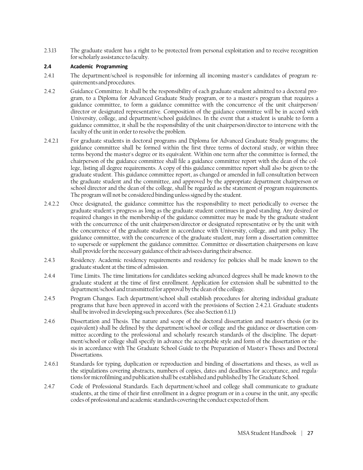2.3.13 The graduate student has a right to be protected from personal exploitation and to receive recognition for scholarly assistance to faculty.

#### **2.4 Academic Programming**

- 2.4.1 The department/school is responsible for informing all incoming master's candidates of program requirements and procedures.
- 2.4.2 Guidance Committee. It shall be the responsibility of each graduate student admitted to a doctoral program, to a Diploma for Advanced Graduate Study program, or to a master's program that requires a guidance committee, to form a guidance committee with the concurrence of the unit chairperson/ director or designated representative. Composition of the guidance committee will be in accord with University, college, and department/school guidelines. In the event that a student is unable to form a guidance committee, it shall be the responsibility of the unit chairperson/director to intervene with the faculty of the unit in order to resolve the problem.
- 2.4.2.1 For graduate students in doctoral programs and Diploma for Advanced Graduate Study programs; the guidance committee shall be formed within the first three terms of doctoral study, or within three terms beyond the master's degree or its equivalent. Within one term after the committee is formed, the chairperson of the guidance committee shall file a guidance committee report with the dean of the college, listing all degree requirements. A copy of this guidance committee report shall also be given to the graduate student. This guidance committee report, as changed or amended in full consultation between the graduate student and the committee, and approved by the appropriate department chairperson or school director and the dean of the college, shall be regarded as the statement of program requirements. The program will not be considered binding unless signed by the student.
- 2.4.2.2 Once designated, the guidance committee has the responsibility to meet periodically to oversee the graduate student's progress as long as the graduate student continues in good standing. Any desired or required changes in the membership of the guidance committee may be made by the graduate student with the concurrence of the unit chairperson/director or designated representative or by the unit with the concurrence of the graduate student in accordance with University, college, and unit policy. The guidance committee, with the concurrence of the graduate student, may form a dissertation committee to supersede or supplement the guidance committee. Committee or dissertation chairpersons on leave shall provide for the necessary guidance of their advisees during their absence.
- 2.4.3 Residency. Academic residency requirements and residency fee policies shall be made known to the graduate student at the time of admission.
- 2.4.4 Time Limits. The time limitations for candidates seeking advanced degrees shall be made known to the graduate student at the time of first enrollment. Application for extension shall be submitted to the department/school and transmitted for approval by the dean of the college.
- 2.4.5 Program Changes. Each department/school shall establish procedures for altering individual graduate programs that have been approved in accord with the provisions of Section 2.4.2.1. Graduate students shall be involved in developing such procedures. (See also Section 6.1.1)
- 2.4.6 Dissertation and Thesis. The nature and scope of the doctoral dissertation and master's thesis (or its equivalent) shall be defined by the department/school or college and the guidance or dissertation committee according to the professional and scholarly research standards of the discipline. The department/school or college shall specify in advance the acceptable style and form of the dissertation or thesis in accordance with The Graduate School Guide to the Preparation of Master's Theses and Doctoral Dissertations.
- 2.4.6.1 Standards for typing, duplication or reproduction and binding of dissertations and theses, as well as the stipulations covering abstracts, numbers of copies, dates and deadlines for acceptance, and regulations for microfilming and publication shall be established and published by The Graduate School.
- 2.4.7 Code of Professional Standards. Each department/school and college shall communicate to graduate students, at the time of their first enrollment in a degree program or in a course in the unit, any specific codes of professional and academic standards covering the conduct expected of them.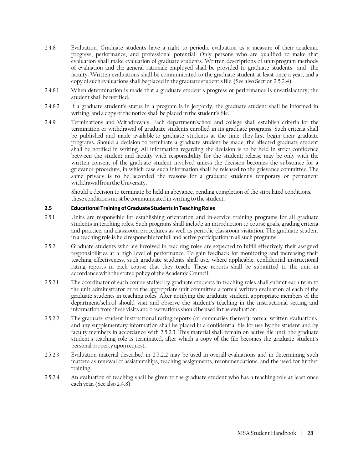- 2.4.8 Evaluation. Graduate students have a right to periodic evaluation as a measure of their academic progress, performance, and professional potential. Only persons who are qualified to make that evaluation shall make evaluation of graduate students. Written descriptions of unit/program methods of evaluation and the general rationale employed shall be provided to graduate students and the faculty. Written evaluations shall be communicated to the graduate student at least once a year, and a copy of such evaluations shall be placed in the graduate student's file. (See also Section 2.5.2.4)
- 2.4.8.1 When determination is made that a graduate student's progress or performance is unsatisfactory, the student shall be notified.
- 2.4.8.2 If a graduate student's status in a program is in jeopardy, the graduate student shall be informed in writing, and a copy of the notice shall be placed in the student's file.
- 2.4.9 Terminations and Withdrawals. Each department/school and college shall establish criteria for the termination or withdrawal of graduate students enrolled in its graduate programs. Such criteria shall be published and made available to graduate students at the time they first begin their graduate programs. Should a decision to terminate a graduate student be made, the affected graduate student shall be notified in writing. All information regarding the decision is to be held in strict confidence between the student and faculty with responsibility for the student; release may be only with the written consent of the graduate student involved unless the decision becomes the substance for a grievance procedure, in which case such information shall be released to the grievance committee. The same privacy is to be accorded the reasons for a graduate student's temporary or permanent withdrawal from the University.

Should a decision to terminate be held in abeyance, pending completion of the stipulated conditions, these conditions must be communicated in writing to the student.

#### **2.5 Educational Training ofGraduate Studentsin TeachingRoles**

- 2.5.1 Units are responsible for establishing orientation and in-service training programs for all graduate students in teaching roles. Such programs shall include an introduction to course goals, grading criteria and practice, and classroom procedures as well as periodic classroom visitation. The graduate student in a teaching role is held responsible for full and active participation in all such programs.
- 2.5.2 Graduate students who are involved in teaching roles are expected to fulfill effectively their assigned responsibilities at a high level of performance. To gain feedback for monitoring and increasing their teaching effectiveness, such graduate students shall use, where applicable, confidential instructional rating reports in each course that they teach. These reports shall be submitted to the unit in accordance with the stated policy of the Academic Council.
- 2.5.2.1 The coordinator of each course staffed by graduate students in teaching roles shall submit each term to the unit administrator or to the appropriate unit committee a formal written evaluation of each of the graduate students in teaching roles. After notifying the graduate student, appropriate members of the department/school should visit and observe the student's teaching in the instructional setting and information from these visits and observations should be used in the evaluation.
- 2.5.2.2 The graduate student instructional rating reports (or summaries thereof), formal written evaluations, and any supplementary information shall be placed in a confidential file for use by the student and by faculty members in accordance with 2.5.2.3. This material shall remain on active file until the graduate student's teaching role is terminated, after which a copy of the file becomes the graduate student's personal property upon request.
- 2.5.2.3 Evaluation material described in 2.5.2.2 may be used in overall evaluations and in determining such matters as renewal of assistantships, teaching assignments, recommendations, and the need for further training.
- 2.5.2.4 An evaluation of teaching shall be given to the graduate student who has a teaching role at least once each year. (See also 2.4.8)